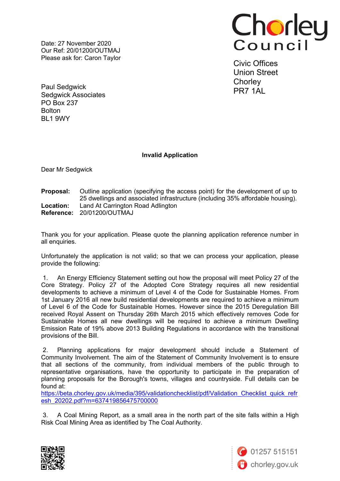Date: 27 November 2020 Our Ref: 20/01200/OUTMAJ Please ask for: Caron Taylor



Civic Offices Union Street **Chorley** PR7 1AL

Paul Sedgwick Sedgwick Associates PO Box 237 **Bolton** BL1 9WY

## **Invalid Application**

Dear Mr Sedgwick

## **Proposal:** Outline application (specifying the access point) for the development of up to 25 dwellings and associated infrastructure (including 35% affordable housing). **Location:** Land At Carrington Road Adlington **Reference:** 20/01200/OUTMAJ

Thank you for your application. Please quote the planning application reference number in all enquiries.

Unfortunately the application is not valid; so that we can process your application, please provide the following:

1. An Energy Efficiency Statement setting out how the proposal will meet Policy 27 of the Core Strategy. Policy 27 of the Adopted Core Strategy requires all new residential developments to achieve a minimum of Level 4 of the Code for Sustainable Homes. From 1st January 2016 all new build residential developments are required to achieve a minimum of Level 6 of the Code for Sustainable Homes. However since the 2015 Deregulation Bill received Royal Assent on Thursday 26th March 2015 which effectively removes Code for Sustainable Homes all new dwellings will be required to achieve a minimum Dwelling Emission Rate of 19% above 2013 Building Regulations in accordance with the transitional provisions of the Bill.

2. Planning applications for major development should include a Statement of Community Involvement. The aim of the Statement of Community Involvement is to ensure that all sections of the community, from individual members of the public through to representative organisations, have the opportunity to participate in the preparation of planning proposals for the Borough's towns, villages and countryside. Full details can be found at:

[https://beta.chorley.gov.uk/media/395/validationchecklist/pdf/Validation\\_Checklist\\_quick\\_refr](https://beta.chorley.gov.uk/media/395/validationchecklist/pdf/Validation_Checklist_quick_refresh_20202.pdf?m=637419856475700000) [esh\\_20202.pdf?m=637419856475700000](https://beta.chorley.gov.uk/media/395/validationchecklist/pdf/Validation_Checklist_quick_refresh_20202.pdf?m=637419856475700000)

3. A Coal Mining Report, as a small area in the north part of the site falls within a High Risk Coal Mining Area as identified by The Coal Authority.